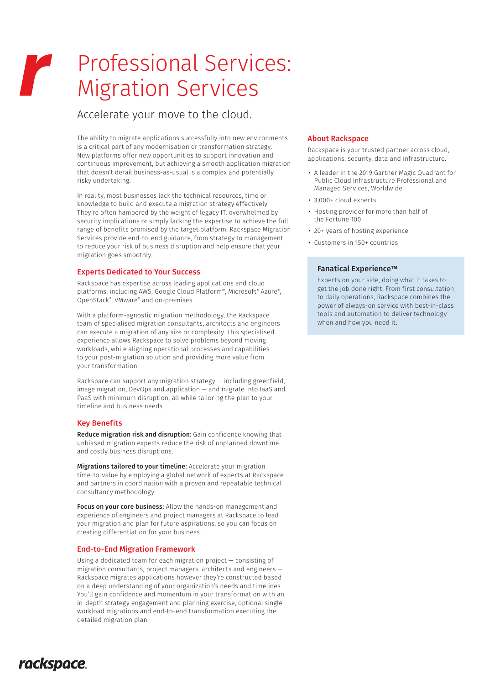# Professional Services: r and the second state of the second state of the second state of the second state of the second state of the second state of the second state of the second state of the second state of the second state of the second state Migration Services

# Accelerate your move to the cloud.

The ability to migrate applications successfully into new environments is a critical part of any modernisation or transformation strategy. New platforms offer new opportunities to support innovation and continuous improvement, but achieving a smooth application migration that doesn't derail business-as-usual is a complex and potentially risky undertaking.

In reality, most businesses lack the technical resources, time or knowledge to build and execute a migration strategy effectively. They're often hampered by the weight of legacy IT, overwhelmed by security implications or simply lacking the expertise to achieve the full range of benefits promised by the target platform. Rackspace Migration Services provide end-to-end guidance, from strategy to management, to reduce your risk of business disruption and help ensure that your migration goes smoothly.

### Experts Dedicated to Your Success

Rackspace has expertise across leading applications and cloud platforms, including AWS, Google Cloud Platform™, Microsoft® Azure®, OpenStack®, VMware® and on-premises.

With a platform-agnostic migration methodology, the Rackspace team of specialised migration consultants, architects and engineers can execute a migration of any size or complexity. This specialised experience allows Rackspace to solve problems beyond moving workloads, while aligning operational processes and capabilities to your post-migration solution and providing more value from your transformation.

Rackspace can support any migration strategy — including greenfield, image migration, DevOps and application — and migrate into IaaS and PaaS with minimum disruption, all while tailoring the plan to your timeline and business needs.

## Key Benefits

Reduce migration risk and disruption: Gain confidence knowing that unbiased migration experts reduce the risk of unplanned downtime and costly business disruptions.

Migrations tailored to your timeline: Accelerate your migration time-to-value by employing a global network of experts at Rackspace and partners in coordination with a proven and repeatable technical consultancy methodology.

Focus on your core business: Allow the hands-on management and experience of engineers and project managers at Rackspace to lead your migration and plan for future aspirations, so you can focus on creating differentiation for your business.

#### End-to-End Migration Framework

Using a dedicated team for each migration project — consisting of migration consultants, project managers, architects and engineers — Rackspace migrates applications however they're constructed based on a deep understanding of your organization's needs and timelines. You'll gain confidence and momentum in your transformation with an in-depth strategy engagement and planning exercise, optional singleworkload migrations and end-to-end transformation executing the detailed migration plan.

# About Rackspace

Rackspace is your trusted partner across cloud, applications, security, data and infrastructure.

- A leader in the 2019 Gartner Magic Quadrant for Public Cloud Infrastructure Professional and Managed Services, Worldwide
- 3,000+ cloud experts
- Hosting provider for more than half of the Fortune 100
- 20+ years of hosting experience
- Customers in 150+ countries

## Fanatical Experience™

Experts on your side, doing what it takes to get the job done right. From first consultation to daily operations, Rackspace combines the power of always-on service with best-in-class tools and automation to deliver technology when and how you need it.

# rackspace.